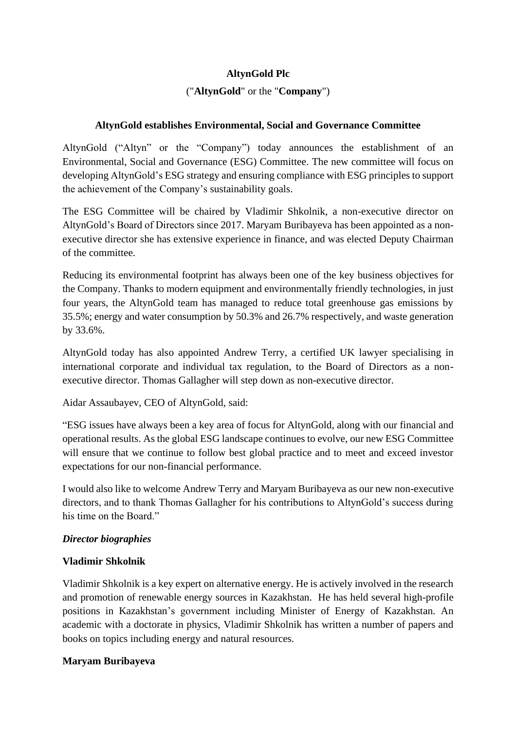# **AltynGold Plc**

# ("**AltynGold**" or the "**Company**")

### **AltynGold establishes Environmental, Social and Governance Committee**

AltynGold ("Altyn" or the "Company") today announces the establishment of an Environmental, Social and Governance (ESG) Committee. The new committee will focus on developing AltynGold's ESG strategy and ensuring compliance with ESG principles to support the achievement of the Company's sustainability goals.

The ESG Committee will be chaired by Vladimir Shkolnik, a non-executive director on AltynGold's Board of Directors since 2017. Maryam Buribayeva has been appointed as a nonexecutive director she has extensive experience in finance, and was elected Deputy Chairman of the committee.

Reducing its environmental footprint has always been one of the key business objectives for the Company. Thanks to modern equipment and environmentally friendly technologies, in just four years, the AltynGold team has managed to reduce total greenhouse gas emissions by 35.5%; energy and water consumption by 50.3% and 26.7% respectively, and waste generation by 33.6%.

AltynGold today has also appointed Andrew Terry, a certified UK lawyer specialising in international corporate and individual tax regulation, to the Board of Directors as a nonexecutive director. Thomas Gallagher will step down as non-executive director.

Aidar Assaubayev, CEO of AltynGold, said:

"ESG issues have always been a key area of focus for AltynGold, along with our financial and operational results. As the global ESG landscape continues to evolve, our new ESG Committee will ensure that we continue to follow best global practice and to meet and exceed investor expectations for our non-financial performance.

I would also like to welcome Andrew Terry and Maryam Buribayeva as our new non-executive directors, and to thank Thomas Gallagher for his contributions to AltynGold's success during his time on the Board."

### *Director biographies*

### **Vladimir Shkolnik**

Vladimir Shkolnik is a key expert on alternative energy. He is actively involved in the research and promotion of renewable energy sources in Kazakhstan. He has held several high-profile positions in Kazakhstan's government including Minister of Energy of Kazakhstan. An academic with a doctorate in physics, Vladimir Shkolnik has written a number of papers and books on topics including energy and natural resources.

## **Maryam Buribayeva**